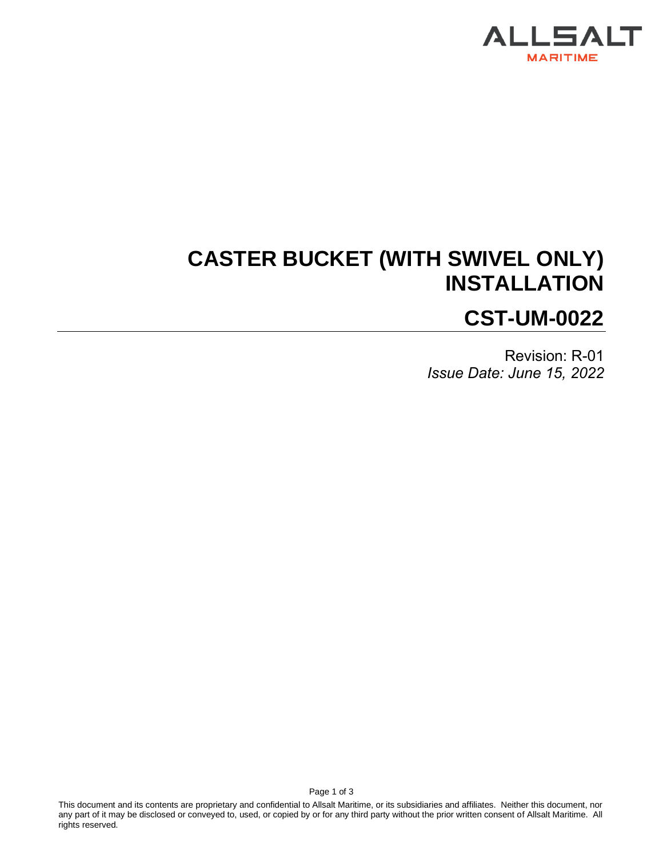

# **CASTER BUCKET (WITH SWIVEL ONLY) INSTALLATION CST-UM-0022**

Revision: R-01 *Issue Date: June 15, 2022*

This document and its contents are proprietary and confidential to Allsalt Maritime, or its subsidiaries and affiliates. Neither this document, nor any part of it may be disclosed or conveyed to, used, or copied by or for any third party without the prior written consent of Allsalt Maritime. All rights reserved.

Page 1 of 3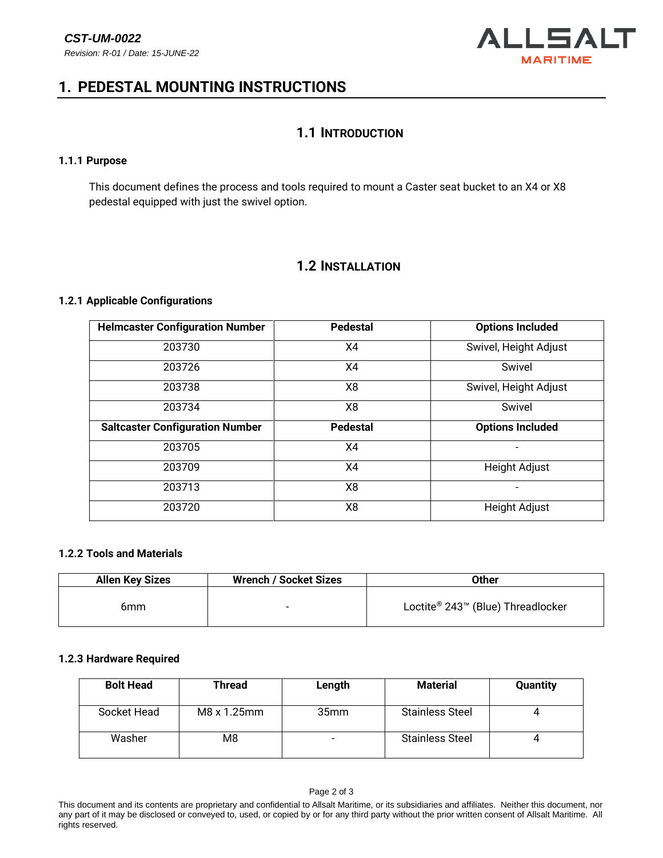

## **1. PEDESTAL MOUNTING INSTRUCTIONS**

## **1.1 INTRODUCTION**

### **1.1.1 Purpose**

This document defines the process and tools required to mount a Caster seat bucket to an X4 or X8 pedestal equipped with just the swivel option.

## **1.2 INSTALLATION**

### **1.2.1 Applicable Configurations**

| <b>Helmcaster Configuration Number</b> | <b>Pedestal</b> | <b>Options Included</b> |  |
|----------------------------------------|-----------------|-------------------------|--|
| 203730                                 | X4              | Swivel, Height Adjust   |  |
| 203726                                 | X4              | Swivel                  |  |
| 203738                                 | X8              | Swivel, Height Adjust   |  |
| 203734                                 | X8              | Swivel                  |  |
| <b>Saltcaster Configuration Number</b> | <b>Pedestal</b> | <b>Options Included</b> |  |
| 203705                                 | X4              |                         |  |
| 203709                                 | X4              | <b>Height Adjust</b>    |  |
| 203713                                 | X8              |                         |  |
| 203720                                 | X8              | <b>Height Adjust</b>    |  |

#### **1.2.2 Tools and Materials**

| <b>Allen Key Sizes</b> | <b>Wrench / Socket Sizes</b> | Other                             |  |
|------------------------|------------------------------|-----------------------------------|--|
| 6mm                    | $\overline{\phantom{0}}$     | Loctite® 243™ (Blue) Threadlocker |  |

## **1.2.3 Hardware Required**

| <b>Bolt Head</b> | Thread         | Length           | <b>Material</b>        | <b>Quantity</b> |
|------------------|----------------|------------------|------------------------|-----------------|
| Socket Head      | M8 x 1.25mm    | 35 <sub>mm</sub> | <b>Stainless Steel</b> |                 |
| Washer           | M <sub>8</sub> |                  | <b>Stainless Steel</b> |                 |

This document and its contents are proprietary and confidential to Allsalt Maritime, or its subsidiaries and affiliates. Neither this document, nor any part of it may be disclosed or conveyed to, used, or copied by or for any third party without the prior written consent of Allsalt Maritime. All rights reserved.